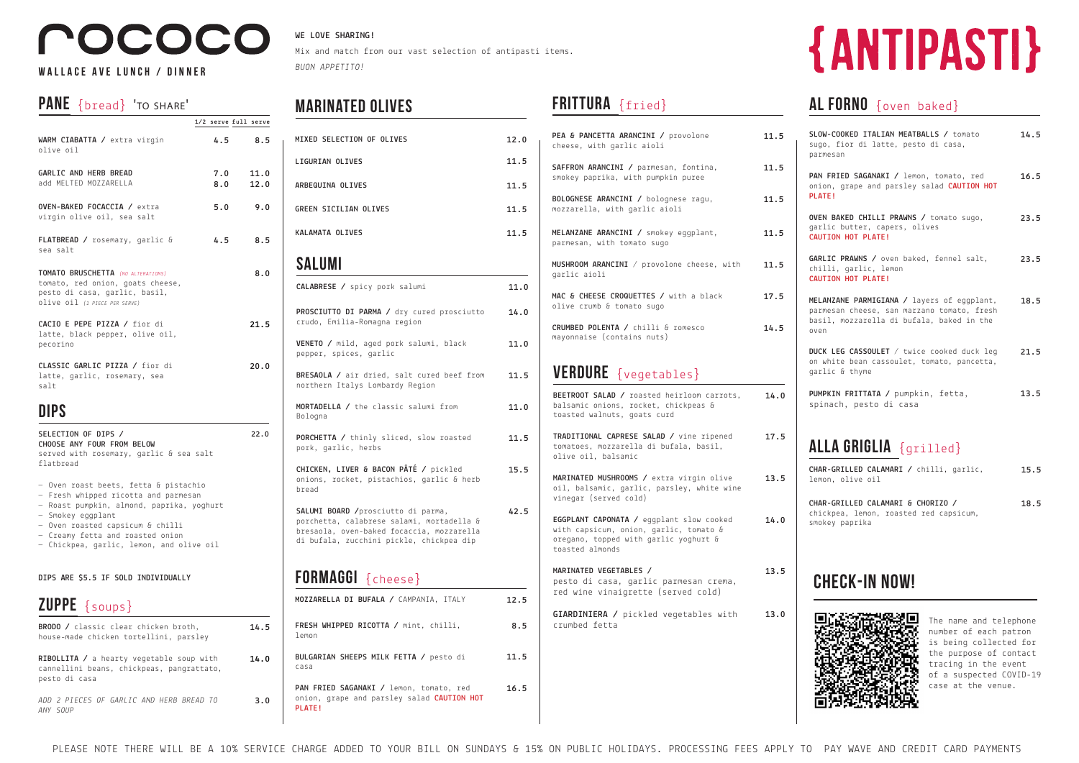# OCOCO

#### **Wallace ave lunch / dinner**

#### PANE {bread} 'TO SHARE'

#### **WE LOVE SHARING!**

Mix and match from our vast selection of antipasti items. *BUON APPETITO!*

PLEASE NOTE THERE WILL BE A 10% SERVICE CHARGE ADDED TO YOUR BILL ON SUNDAYS & 15% ON PUBLIC HOLIDAYS. PROCESSING FEES APPLY TO PAY WAVE AND CREDIT CARD PAYMENTS

| ZUPPE {soups}                                                                                                 |      |
|---------------------------------------------------------------------------------------------------------------|------|
| <b>BRODO</b> / classic clear chicken broth,<br>house-made chicken tortellini, parsley                         | 14.5 |
| <b>RIBOLLITA</b> / a hearty vegetable soup with<br>cannellini beans, chickpeas, pangrattato,<br>pesto di casa | 14.0 |
| ADD 2 PIECES OF GARLIC AND HERB BREAD TO<br>ANY SOUP                                                          | 3.0  |

|                                                                                                                                          |            | 1/2 serve full serve |
|------------------------------------------------------------------------------------------------------------------------------------------|------------|----------------------|
| WARM CIABATTA / extra virgin<br>olive oil                                                                                                | 4.5        | 8.5                  |
| GARLIC AND HERB BREAD<br>add MELTED MOZZARELLA                                                                                           | 7.0<br>8.0 | 11.0<br>12.0         |
| OVEN-BAKED FOCACCIA / extra<br>virgin olive oil, sea salt                                                                                | 5.0        | 9.0                  |
| <b>FLATBREAD</b> / rosemary, garlic &<br>sea salt                                                                                        | 4.5        | 8.5                  |
| TOMATO BRUSCHETTA (NO ALTERATIONS)<br>tomato, red onion, goats cheese,<br>pesto di casa, garlic, basil,<br>olive oil (1 PIECE PER SERVE) |            | 8.0                  |
| CACIO E PEPE PIZZA / fior di<br>latte, black pepper, olive oil,<br>pecorino                                                              |            | 21.5                 |
| CLASSIC GARLIC PIZZA / fior di<br>latte, garlic, rosemary, sea<br>salt                                                                   |            | 20.0                 |

### **DIPS**

| SELECTION OF DIPS /<br>CHOOSE ANY FOUR FROM BELOW<br>served with rosemary, garlic & sea salt<br>flatbread                                                                                                               | 22.0 |
|-------------------------------------------------------------------------------------------------------------------------------------------------------------------------------------------------------------------------|------|
| - Oven roast beets, fetta & pistachio<br>- Fresh whipped ricotta and parmesan<br>- Roast pumpkin, almond, paprika, yoghurt<br>- Smokey eqqplant<br>- Oven roasted capsicum & chilli<br>- Creamy fetta and roasted onion |      |

— Chickpea, garlic, lemon, and olive oil

#### **DIPS ARE \$5.5 IF SOLD INDIVIDUALLY**

| MIXED SELECTION OF OLIVES                                                                                                                                                 | 12.0 |
|---------------------------------------------------------------------------------------------------------------------------------------------------------------------------|------|
| <b>LIGURIAN OLIVES</b>                                                                                                                                                    | 11.5 |
| ARBEQUINA OLIVES                                                                                                                                                          | 11.5 |
| <b>GREEN SICILIAN OLIVES</b>                                                                                                                                              | 11.5 |
| <b>KALAMATA OLIVES</b>                                                                                                                                                    | 11.5 |
| SALUMI                                                                                                                                                                    |      |
| CALABRESE / spicy pork salumi                                                                                                                                             | 11.0 |
| PROSCIUTTO DI PARMA / dry cured prosciutto<br>crudo, Emilia-Romagna region                                                                                                | 14.0 |
| VENETO / mild, aged pork salumi, black<br>pepper, spices, garlic                                                                                                          | 11.0 |
| BRESAOLA / air dried, salt cured beef from<br>northern Italys Lombardy Region                                                                                             | 11.5 |
| MORTADELLA / the classic salumi from<br>Bologna                                                                                                                           | 11.0 |
| PORCHETTA / thinly sliced, slow roasted<br>pork, garlic, herbs                                                                                                            | 11.5 |
| CHICKEN, LIVER & BACON PÂTÉ / pickled<br>onions, rocket, pistachios, garlic & herb<br>bread                                                                               | 15.5 |
| SALUMI BOARD / prosciutto di parma,<br>porchetta, calabrese salami, mortadella &<br>bresaola, oven-baked focaccia, mozzarella<br>di bufala, zucchini pickle, chickpea dip | 42.5 |
| FORMAGGI { cheese}                                                                                                                                                        |      |
| MOZZARELLA DI BUFALA / CAMPANIA, ITALY                                                                                                                                    | 12.5 |
| FRESH WHIPPED RICOTTA / mint, chilli,<br>lemon                                                                                                                            | 8.5  |
| BULGARIAN SHEEPS MILK FETTA / pesto di<br>casa                                                                                                                            | 11.5 |
| PAN FRIED SAGANAKI / lemon, tomato, red                                                                                                                                   | 16.5 |

## FRITTURA {fried}

### **alla griglia** {grilled}

| CHAR-GRILLED CALAMARI / chilli, garlic, |  | 15.5 |
|-----------------------------------------|--|------|
| lemon. olive oil                        |  |      |
| CHAR-GRILLED CALAMARI & CHORIZO /       |  | 18.5 |
| chickpea, lemon, roasted red capsicum,  |  |      |

smokey paprika



### **Marinated OLIVEs**

| PEA & PANCETTA ARANCINI / provolone<br>cheese, with garlic aioli                                                                               | 11.5 |
|------------------------------------------------------------------------------------------------------------------------------------------------|------|
| SAFFRON ARANCINI / parmesan, fontina,<br>smokey paprika, with pumpkin puree                                                                    | 11.5 |
| BOLOGNESE ARANCINI / bolognese ragu,<br>mozzarella, with garlic aioli                                                                          | 11.5 |
| MELANZANE ARANCINI / smokey eggplant,<br>parmesan, with tomato sugo                                                                            | 11.5 |
| MUSHROOM ARANCINI / provolone cheese, with<br>garlic aioli                                                                                     | 11.5 |
| MAC & CHEESE CROQUETTES / with a black<br>olive crumb & tomato sugo                                                                            | 17.5 |
| CRUMBED POLENTA / chilli & romesco<br>mayonnaise (contains nuts)                                                                               | 14.5 |
| <b>VERDURE</b> {vegetables}<br>BEETROOT SALAD / roasted heirloom carrots,<br>balsamic onions, rocket, chickpeas &                              | 14.0 |
| toasted walnuts, goats curd<br>TRADITIONAL CAPRESE SALAD / vine ripened<br>tomatoes, mozzarella di bufala, basil,<br>olive oil, balsamic       | 17.5 |
|                                                                                                                                                |      |
| MARINATED MUSHROOMS / extra virgin olive<br>oil, balsamic, garlic, parsley, white wine<br>vinegar (served cold)                                | 13.5 |
| EGGPLANT CAPONATA / eggplant slow cooked<br>with capsicum, onion, garlic, tomato &<br>oregano, topped with garlic yoghurt &<br>toasted almonds | 14.0 |
| MARINATED VEGETABLES /<br>pesto di casa, garlic parmesan crema,<br>red wine vinaigrette (served cold)                                          | 13.5 |
| GIARDINIERA / pickled vegetables with<br>crumbed fetta                                                                                         | 13.0 |

onion, grape and parsley salad **CAUTION HOT** 

**PLATE!**

# {ANTIPASTI}

#### **al forno** {oven baked}

**SLOW-COOKED ITALIAN MEATBALLS /** tomato sugo, fior di latte, pesto di casa, parmesan **14.5**

**PAN FRIED SAGANAKI /** lemon, tomato, red onion, grape and parsley salad **CAUTION HOT PLATE! 16.5**

**OVEN BAKED CHILLI PRAWNS /** tomato sugo, garlic butter, capers, olives **CAUTION HOT PLATE! 23.5**

**GARLIC PRAWNS /** oven baked, fennel salt, chilli, garlic, lemon **CAUTION HOT PLATE! 23.5**

**MELANZANE PARMIGIANA /** layers of eggplant, parmesan cheese, san marzano tomato, fresh basil, mozzarella di bufala, baked in the oven **18.5**

**DUCK LEG CASSOULET** / twice cooked duck leg on white bean cassoulet, tomato, pancetta, garlic & thyme **21.5**

**PUMPKIN FRITTATA /** pumpkin, fetta, spinach, pesto di casa **13.5**

## **CHECK-IN NOW!**

The name and telephone number of each patron is being collected for the purpose of contact tracing in the event of a suspected COVID-19 case at the venue.